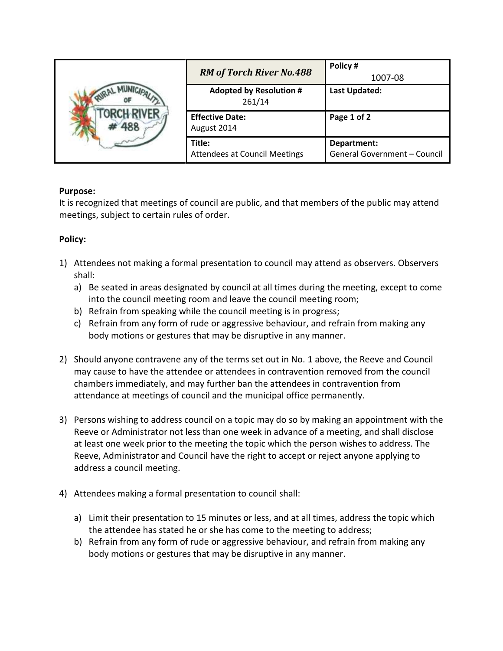|  | <b>RM of Torch River No.488</b>                | Policy#<br>1007-08                          |
|--|------------------------------------------------|---------------------------------------------|
|  | <b>Adopted by Resolution #</b><br>261/14       | <b>Last Updated:</b>                        |
|  | <b>Effective Date:</b><br>August 2014          | Page 1 of 2                                 |
|  | Title:<br><b>Attendees at Council Meetings</b> | Department:<br>General Government - Council |

## **Purpose:**

It is recognized that meetings of council are public, and that members of the public may attend meetings, subject to certain rules of order.

## **Policy:**

- 1) Attendees not making a formal presentation to council may attend as observers. Observers shall:
	- a) Be seated in areas designated by council at all times during the meeting, except to come into the council meeting room and leave the council meeting room;
	- b) Refrain from speaking while the council meeting is in progress;
	- c) Refrain from any form of rude or aggressive behaviour, and refrain from making any body motions or gestures that may be disruptive in any manner.
- 2) Should anyone contravene any of the terms set out in No. 1 above, the Reeve and Council may cause to have the attendee or attendees in contravention removed from the council chambers immediately, and may further ban the attendees in contravention from attendance at meetings of council and the municipal office permanently.
- 3) Persons wishing to address council on a topic may do so by making an appointment with the Reeve or Administrator not less than one week in advance of a meeting, and shall disclose at least one week prior to the meeting the topic which the person wishes to address. The Reeve, Administrator and Council have the right to accept or reject anyone applying to address a council meeting.
- 4) Attendees making a formal presentation to council shall:
	- a) Limit their presentation to 15 minutes or less, and at all times, address the topic which the attendee has stated he or she has come to the meeting to address;
	- b) Refrain from any form of rude or aggressive behaviour, and refrain from making any body motions or gestures that may be disruptive in any manner.